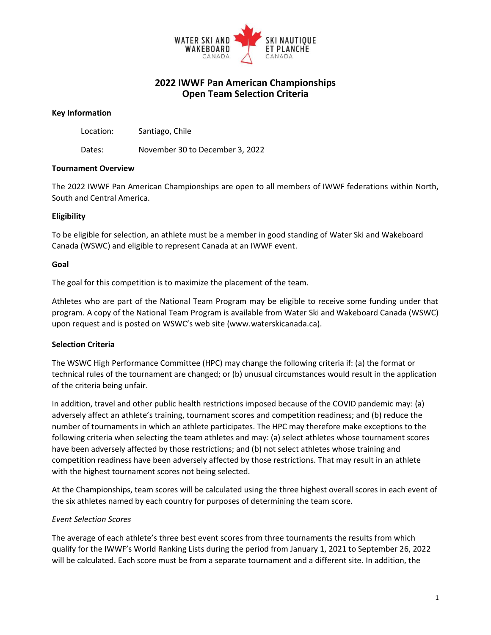

# **2022 IWWF Pan American Championships Open Team Selection Criteria**

#### **Key Information**

Location: Santiago, Chile

Dates: November 30 to December 3, 2022

### **Tournament Overview**

The 2022 IWWF Pan American Championships are open to all members of IWWF federations within North, South and Central America.

## **Eligibility**

To be eligible for selection, an athlete must be a member in good standing of Water Ski and Wakeboard Canada (WSWC) and eligible to represent Canada at an IWWF event.

### **Goal**

The goal for this competition is to maximize the placement of the team.

Athletes who are part of the National Team Program may be eligible to receive some funding under that program. A copy of the National Team Program is available from Water Ski and Wakeboard Canada (WSWC) upon request and is posted on WSWC's web site (www.waterskicanada.ca).

## **Selection Criteria**

The WSWC High Performance Committee (HPC) may change the following criteria if: (a) the format or technical rules of the tournament are changed; or (b) unusual circumstances would result in the application of the criteria being unfair.

In addition, travel and other public health restrictions imposed because of the COVID pandemic may: (a) adversely affect an athlete's training, tournament scores and competition readiness; and (b) reduce the number of tournaments in which an athlete participates. The HPC may therefore make exceptions to the following criteria when selecting the team athletes and may: (a) select athletes whose tournament scores have been adversely affected by those restrictions; and (b) not select athletes whose training and competition readiness have been adversely affected by those restrictions. That may result in an athlete with the highest tournament scores not being selected.

At the Championships, team scores will be calculated using the three highest overall scores in each event of the six athletes named by each country for purposes of determining the team score.

#### *Event Selection Scores*

The average of each athlete's three best event scores from three tournaments the results from which qualify for the IWWF's World Ranking Lists during the period from January 1, 2021 to September 26, 2022 will be calculated. Each score must be from a separate tournament and a different site. In addition, the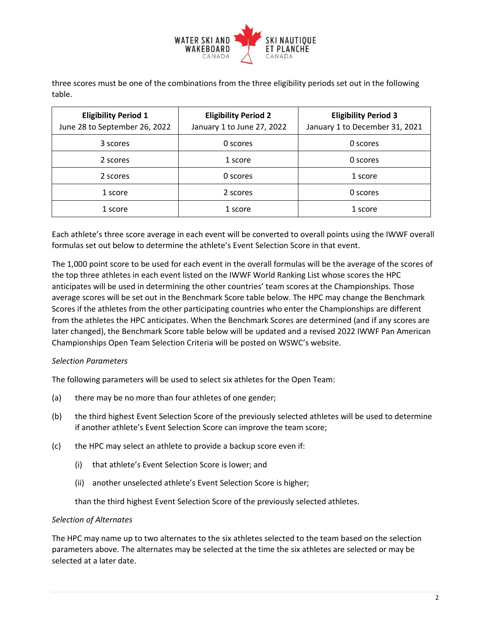

three scores must be one of the combinations from the three eligibility periods set out in the following table.

| <b>Eligibility Period 1</b><br>June 28 to September 26, 2022 | <b>Eligibility Period 2</b><br>January 1 to June 27, 2022 | <b>Eligibility Period 3</b><br>January 1 to December 31, 2021 |
|--------------------------------------------------------------|-----------------------------------------------------------|---------------------------------------------------------------|
| 3 scores                                                     | 0 scores                                                  | 0 scores                                                      |
| 2 scores                                                     | 1 score                                                   | 0 scores                                                      |
| 2 scores                                                     | 0 scores                                                  | 1 score                                                       |
| 1 score                                                      | 2 scores                                                  | 0 scores                                                      |
| 1 score                                                      | 1 score                                                   | 1 score                                                       |

Each athlete's three score average in each event will be converted to overall points using the IWWF overall formulas set out below to determine the athlete's Event Selection Score in that event.

The 1,000 point score to be used for each event in the overall formulas will be the average of the scores of the top three athletes in each event listed on the IWWF World Ranking List whose scores the HPC anticipates will be used in determining the other countries' team scores at the Championships. Those average scores will be set out in the Benchmark Score table below. The HPC may change the Benchmark Scores if the athletes from the other participating countries who enter the Championships are different from the athletes the HPC anticipates. When the Benchmark Scores are determined (and if any scores are later changed), the Benchmark Score table below will be updated and a revised 2022 IWWF Pan American Championships Open Team Selection Criteria will be posted on WSWC's website.

#### *Selection Parameters*

The following parameters will be used to select six athletes for the Open Team:

- (a) there may be no more than four athletes of one gender;
- (b) the third highest Event Selection Score of the previously selected athletes will be used to determine if another athlete's Event Selection Score can improve the team score;
- (c) the HPC may select an athlete to provide a backup score even if:
	- (i) that athlete's Event Selection Score is lower; and
	- (ii) another unselected athlete's Event Selection Score is higher;

than the third highest Event Selection Score of the previously selected athletes.

#### *Selection of Alternates*

The HPC may name up to two alternates to the six athletes selected to the team based on the selection parameters above. The alternates may be selected at the time the six athletes are selected or may be selected at a later date.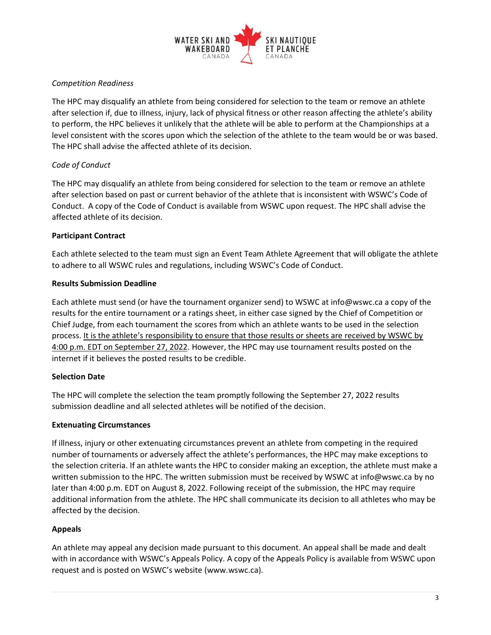

## *Competition Readiness*

The HPC may disqualify an athlete from being considered for selection to the team or remove an athlete after selection if, due to illness, injury, lack of physical fitness or other reason affecting the athlete's ability to perform, the HPC believes it unlikely that the athlete will be able to perform at the Championships at a level consistent with the scores upon which the selection of the athlete to the team would be or was based. The HPC shall advise the affected athlete of its decision.

# *Code of Conduct*

The HPC may disqualify an athlete from being considered for selection to the team or remove an athlete after selection based on past or current behavior of the athlete that is inconsistent with WSWC's Code of Conduct. A copy of the Code of Conduct is available from WSWC upon request. The HPC shall advise the affected athlete of its decision.

## **Participant Contract**

Each athlete selected to the team must sign an Event Team Athlete Agreement that will obligate the athlete to adhere to all WSWC rules and regulations, including WSWC's Code of Conduct.

## **Results Submission Deadline**

Each athlete must send (or have the tournament organizer send) to WSWC at info@wswc.ca a copy of the results for the entire tournament or a ratings sheet, in either case signed by the Chief of Competition or Chief Judge, from each tournament the scores from which an athlete wants to be used in the selection process. It is the athlete's responsibility to ensure that those results or sheets are received by WSWC by 4:00 p.m. EDT on September 27, 2022. However, the HPC may use tournament results posted on the internet if it believes the posted results to be credible.

## **Selection Date**

The HPC will complete the selection the team promptly following the September 27, 2022 results submission deadline and all selected athletes will be notified of the decision.

## **Extenuating Circumstances**

If illness, injury or other extenuating circumstances prevent an athlete from competing in the required number of tournaments or adversely affect the athlete's performances, the HPC may make exceptions to the selection criteria. If an athlete wants the HPC to consider making an exception, the athlete must make a written submission to the HPC. The written submission must be received by WSWC at info@wswc.ca by no later than 4:00 p.m. EDT on August 8, 2022. Following receipt of the submission, the HPC may require additional information from the athlete. The HPC shall communicate its decision to all athletes who may be affected by the decision.

## **Appeals**

An athlete may appeal any decision made pursuant to this document. An appeal shall be made and dealt with in accordance with WSWC's Appeals Policy. A copy of the Appeals Policy is available from WSWC upon request and is posted on WSWC's website (www.wswc.ca).